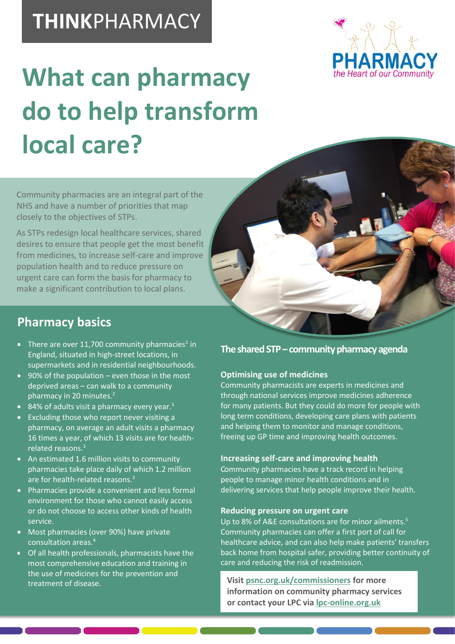## **THINK**PHARMACY



# **What can pharmacy do to help transform local care?**

Community pharmacies are an integral part of the NHS and have a number of priorities that map closely to the objectives of STPs.

As STPs redesign local healthcare services, shared desires to ensure that people get the most benefit from medicines, to increase self-care and improve population health and to reduce pressure on urgent care can form the basis for pharmacy to make a significant contribution to local plans.

### **Pharmacy basics**

- There are over 11,700 community pharmacies<sup>1</sup> in England, situated in high-street locations, in supermarkets and in residential neighbourhoods.
- 90% of the population even those in the most deprived areas – can walk to a community pharmacy in 20 minutes. 2
- 84% of adults visit a pharmacy every year.<sup>3</sup>
- Excluding those who report never visiting a pharmacy, on average an adult visits a pharmacy 16 times a year, of which 13 visits are for healthrelated reasons. 3
- An estimated 1.6 million visits to community pharmacies take place daily of which 1.2 million are for health-related reasons.<sup>3</sup>
- Pharmacies provide a convenient and less formal environment for those who cannot easily access or do not choose to access other kinds of health service.
- Most pharmacies (over 90%) have private consultation areas. 4
- Of all health professionals, pharmacists have the most comprehensive education and training in the use of medicines for the prevention and treatment of disease.

#### **The shared STP –community pharmacy agenda**

#### **Optimising use of medicines**

Community pharmacists are experts in medicines and through national services improve medicines adherence for many patients. But they could do more for people with long term conditions, developing care plans with patients and helping them to monitor and manage conditions, freeing up GP time and improving health outcomes.

#### **Increasing self-care and improving health**

Community pharmacies have a track record in helping people to manage minor health conditions and in delivering services that help people improve their health.

#### **Reducing pressure on urgent care**

Up to 8% of A&E consultations are for minor ailments.<sup>5</sup> Community pharmacies can offer a first port of call for healthcare advice, and can also help make patients' transfers back home from hospital safer, providing better continuity of care and reducing the risk of readmission.

**Visit [psnc.org.uk/commissioners](http://psnc.org.uk/commissioners) for more information on community pharmacy services or contact your LPC via [lpc-online.org.uk](http://lpc-online.org.uk/)**